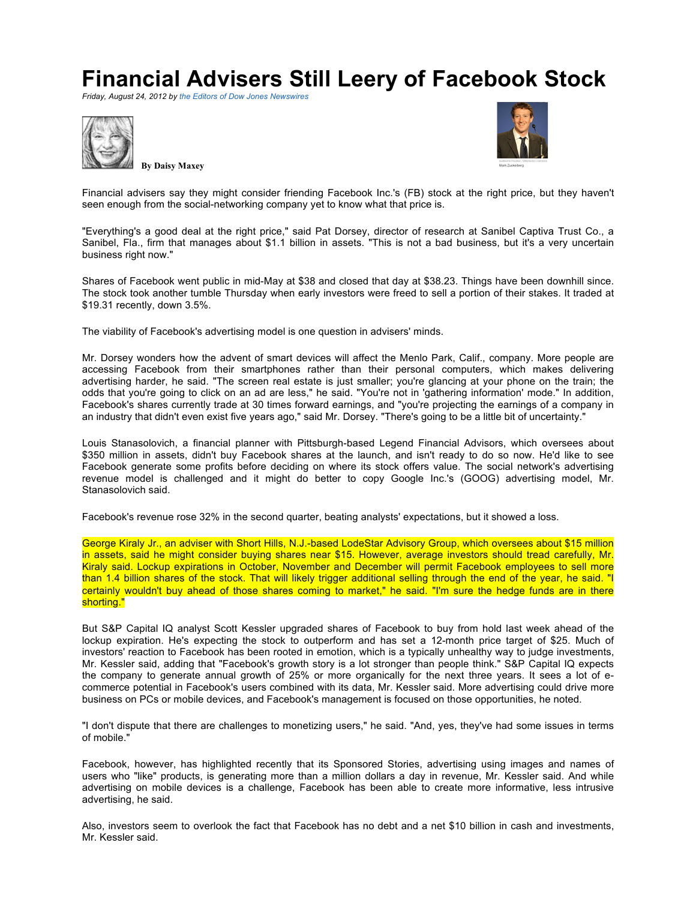## **Financial Advisers Still Leery of Facebook Stock**

*Friday, August 24, 2012 by the Editors of Dow Jones Newswires*



**By Daisy Maxey** 



Financial advisers say they might consider friending Facebook Inc.'s (FB) stock at the right price, but they haven't seen enough from the social-networking company yet to know what that price is.

"Everything's a good deal at the right price," said Pat Dorsey, director of research at Sanibel Captiva Trust Co., a Sanibel, Fla., firm that manages about \$1.1 billion in assets. "This is not a bad business, but it's a very uncertain business right now."

Shares of Facebook went public in mid-May at \$38 and closed that day at \$38.23. Things have been downhill since. The stock took another tumble Thursday when early investors were freed to sell a portion of their stakes. It traded at \$19.31 recently, down 3.5%.

The viability of Facebook's advertising model is one question in advisers' minds.

Mr. Dorsey wonders how the advent of smart devices will affect the Menlo Park, Calif., company. More people are accessing Facebook from their smartphones rather than their personal computers, which makes delivering advertising harder, he said. "The screen real estate is just smaller; you're glancing at your phone on the train; the odds that you're going to click on an ad are less," he said. "You're not in 'gathering information' mode." In addition, Facebook's shares currently trade at 30 times forward earnings, and "you're projecting the earnings of a company in an industry that didn't even exist five years ago," said Mr. Dorsey. "There's going to be a little bit of uncertainty."

Louis Stanasolovich, a financial planner with Pittsburgh-based Legend Financial Advisors, which oversees about \$350 million in assets, didn't buy Facebook shares at the launch, and isn't ready to do so now. He'd like to see Facebook generate some profits before deciding on where its stock offers value. The social network's advertising revenue model is challenged and it might do better to copy Google Inc.'s (GOOG) advertising model, Mr. Stanasolovich said.

Facebook's revenue rose 32% in the second quarter, beating analysts' expectations, but it showed a loss.

George Kiraly Jr., an adviser with Short Hills, N.J.-based LodeStar Advisory Group, which oversees about \$15 million in assets, said he might consider buying shares near \$15. However, average investors should tread carefully, Mr. Kiraly said. Lockup expirations in October, November and December will permit Facebook employees to sell more than 1.4 billion shares of the stock. That will likely trigger additional selling through the end of the year, he said. "I certainly wouldn't buy ahead of those shares coming to market," he said. "I'm sure the hedge funds are in there shorting."

But S&P Capital IQ analyst Scott Kessler upgraded shares of Facebook to buy from hold last week ahead of the lockup expiration. He's expecting the stock to outperform and has set a 12-month price target of \$25. Much of investors' reaction to Facebook has been rooted in emotion, which is a typically unhealthy way to judge investments, Mr. Kessler said, adding that "Facebook's growth story is a lot stronger than people think." S&P Capital IQ expects the company to generate annual growth of 25% or more organically for the next three years. It sees a lot of ecommerce potential in Facebook's users combined with its data, Mr. Kessler said. More advertising could drive more business on PCs or mobile devices, and Facebook's management is focused on those opportunities, he noted.

"I don't dispute that there are challenges to monetizing users," he said. "And, yes, they've had some issues in terms of mobile."

Facebook, however, has highlighted recently that its Sponsored Stories, advertising using images and names of users who "like" products, is generating more than a million dollars a day in revenue, Mr. Kessler said. And while advertising on mobile devices is a challenge, Facebook has been able to create more informative, less intrusive advertising, he said.

Also, investors seem to overlook the fact that Facebook has no debt and a net \$10 billion in cash and investments, Mr. Kessler said.